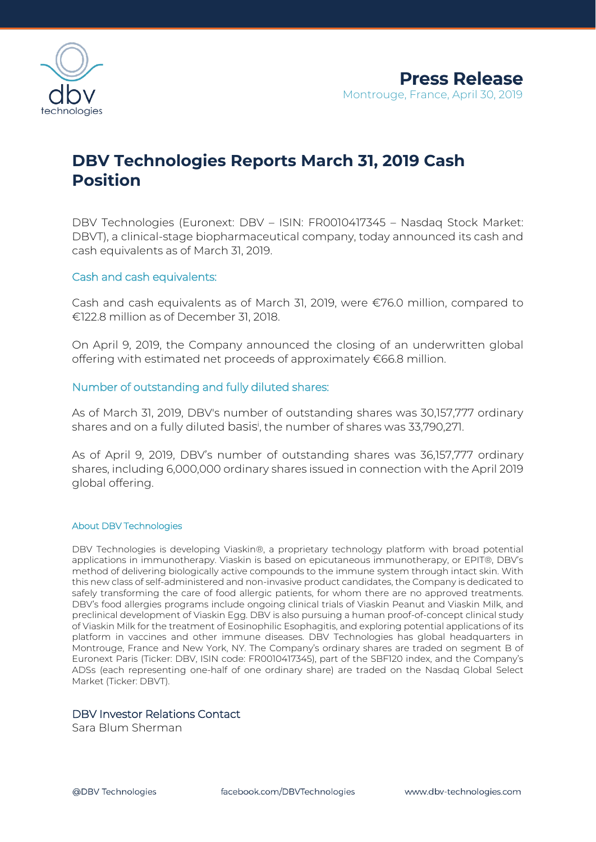

# **DBV Technologies Reports March 31, 2019 Cash Position**

DBV Technologies (Euronext: DBV – ISIN: FR0010417345 – Nasdaq Stock Market: DBVT), a clinical-stage biopharmaceutical company, today announced its cash and cash equivalents as of March 31, 2019.

## Cash and cash equivalents:

Cash and cash equivalents as of March 31, 2019, were €76.0 million, compared to €122.8 million as of December 31, 2018.

On April 9, 2019, the Company announced the closing of an underwritten global offering with estimated net proceeds of approximately €66.8 million.

# Number of outstanding and fully diluted shares:

As of March 31, 2019, DBV's number of outstanding shares was 30,157,777 ordinary shares and on a fully diluted basis<sup>i</sup>, the number of shares was 33,790,271.

As of April 9, 2019, DBV's number of outstanding shares was 36,157,777 ordinary shares, including 6,000,000 ordinary shares issued in connection with the April 2019 global offering.

#### About DBV Technologies

DBV Technologies is developing Viaskin®, a proprietary technology platform with broad potential applications in immunotherapy. Viaskin is based on epicutaneous immunotherapy, or EPIT®, DBV's method of delivering biologically active compounds to the immune system through intact skin. With this new class of self-administered and non-invasive product candidates, the Company is dedicated to safely transforming the care of food allergic patients, for whom there are no approved treatments. DBV's food allergies programs include ongoing clinical trials of Viaskin Peanut and Viaskin Milk, and preclinical development of Viaskin Egg. DBV is also pursuing a human proof-of-concept clinical study of Viaskin Milk for the treatment of Eosinophilic Esophagitis, and exploring potential applications of its platform in vaccines and other immune diseases. DBV Technologies has global headquarters in Montrouge, France and New York, NY. The Company's ordinary shares are traded on segment B of Euronext Paris (Ticker: DBV, ISIN code: FR0010417345), part of the SBF120 index, and the Company's ADSs (each representing one-half of one ordinary share) are traded on the Nasdaq Global Select Market (Ticker: DBVT).

## DBV Investor Relations Contact

Sara Blum Sherman